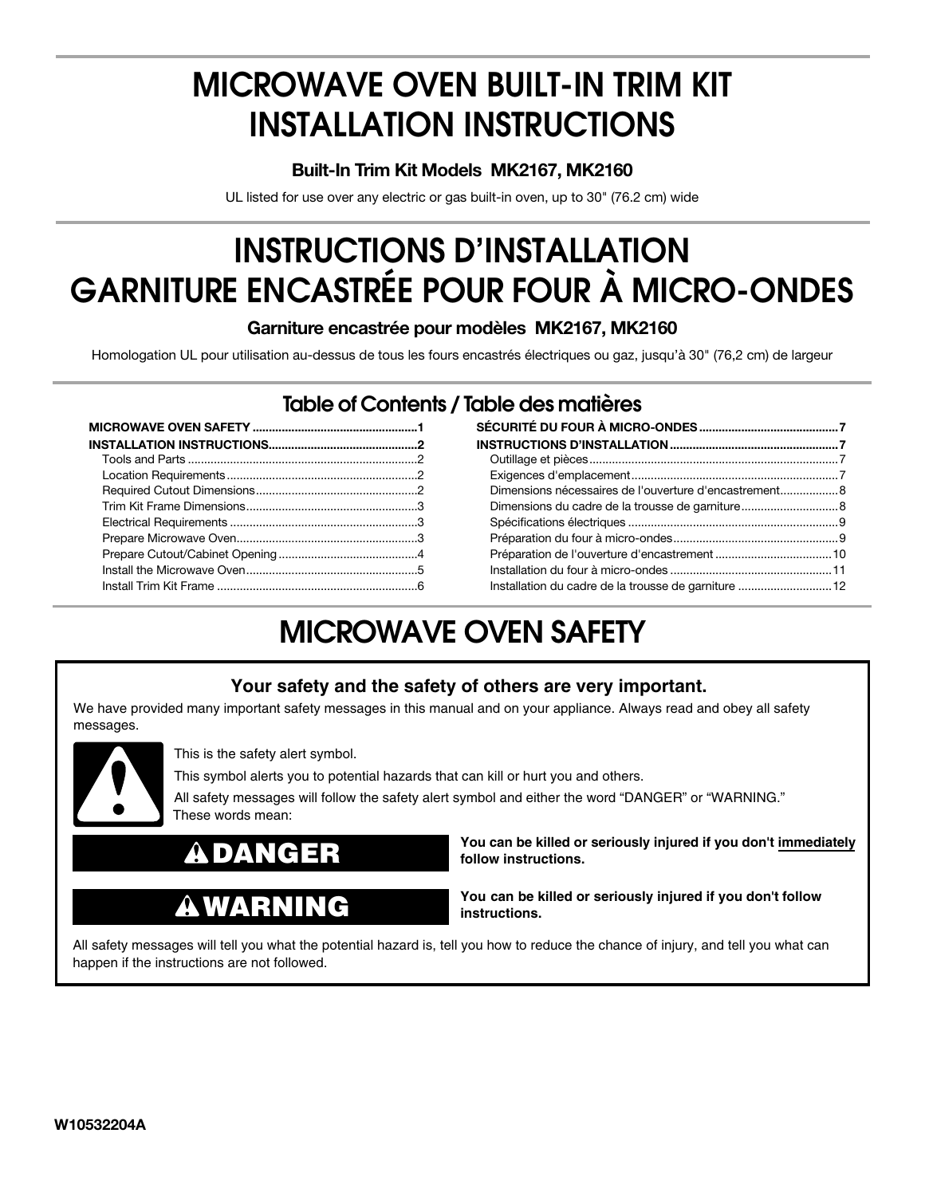# **MICROWAVE OVEN BUILT-IN TRIM KIT INSTALLATION INSTRUCTIONS**

#### **Built-In Trim Kit Models MK2167, MK2160**

UL listed for use over any electric or gas built-in oven, up to 30" (76.2 cm) wide

# **INSTRUCTIONS D'INSTALLATION GARNITURE ENCASTRÉE POUR FOUR À MICRO-ONDES**

#### **Garniture encastrée pour modèles MK2167, MK2160**

Homologation UL pour utilisation au-dessus de tous les fours encastrés électriques ou gaz, jusqu'à 30" (76,2 cm) de largeur

### **Table of Contents / Table des matières**

| Dimensions nécessaires de l'ouverture d'encastrement |  |
|------------------------------------------------------|--|
|                                                      |  |
|                                                      |  |
|                                                      |  |
|                                                      |  |
|                                                      |  |
| Installation du cadre de la trousse de garniture 12  |  |

## **MICROWAVE OVEN SAFETY**

#### **Your safety and the safety of others are very important.**

We have provided many important safety messages in this manual and on your appliance. Always read and obey all safety messages.



This is the safety alert symbol.

This symbol alerts you to potential hazards that can kill or hurt you and others.

All safety messages will follow the safety alert symbol and either the word "DANGER" or "WARNING." These words mean:



## **WARNING**

**You can be killed or seriously injured if you don't immediately follow instructions.**

**You can be killed or seriously injured if you don't follow instructions.**

All safety messages will tell you what the potential hazard is, tell you how to reduce the chance of injury, and tell you what can happen if the instructions are not followed.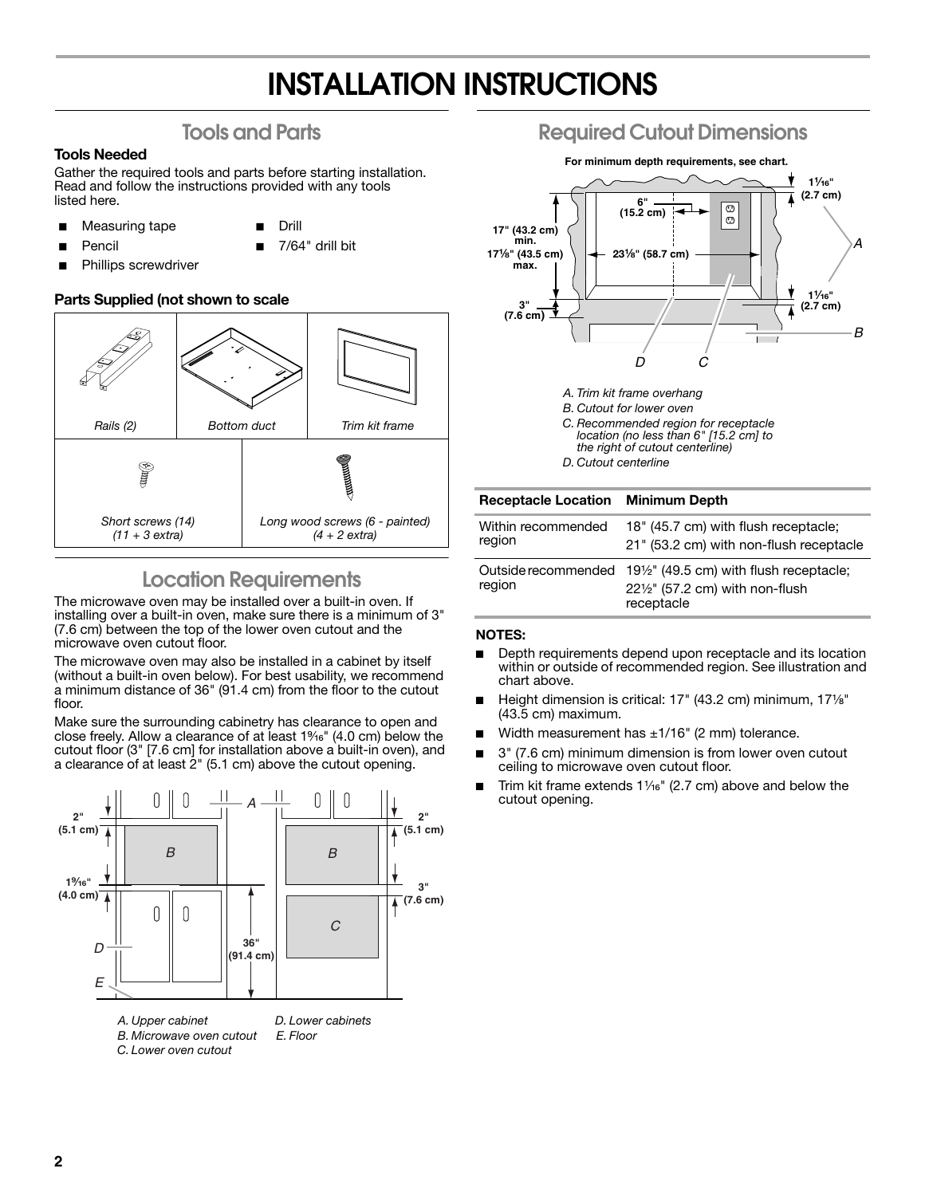## **INSTALLATION INSTRUCTIONS**

### **Tools and Parts**

#### **Tools Needed**

**Pencil** 

Gather the required tools and parts before starting installation. Read and follow the instructions provided with any tools listed here.

- Measuring tape
- Drill

■ 7/64" drill bit

Phillips screwdriver

#### **Parts Supplied (not shown to scale**



### **Location Requirements**

The microwave oven may be installed over a built-in oven. If installing over a built-in oven, make sure there is a minimum of 3" (7.6 cm) between the top of the lower oven cutout and the microwave oven cutout floor.

The microwave oven may also be installed in a cabinet by itself (without a built-in oven below). For best usability, we recommend a minimum distance of 36" (91.4 cm) from the floor to the cutout floor.

Make sure the surrounding cabinetry has clearance to open and close freely. Allow a clearance of at least  $1\%$ <sup>e</sup>" (4.0 cm) below the cutout floor (3" [7.6 cm] for installation above a built-in oven), and a clearance of at least 2" (5.1 cm) above the cutout opening.



### **Required Cutout Dimensions**



- *A. Trim kit frame overhang B. Cutout for lower oven*
- *C. Recommended region for receptacle location (no less than 6" [15.2 cm] to*
- *the right of cutout centerline)*
- *D. Cutout centerline*

| <b>Receptacle Location Minimum Depth</b> |                                                                                                                                                   |
|------------------------------------------|---------------------------------------------------------------------------------------------------------------------------------------------------|
| Within recommended<br>region             | 18" (45.7 cm) with flush receptacle;<br>21" (53.2 cm) with non-flush receptacle                                                                   |
| region                                   | Outside recommended 19 <sup>1</sup> / <sub>2</sub> " (49.5 cm) with flush receptacle;<br>$22\frac{1}{2}$ " (57.2 cm) with non-flush<br>receptacle |

#### **NOTES:**

- Depth requirements depend upon receptacle and its location within or outside of recommended region. See illustration and chart above.
- Height dimension is critical: 17" (43.2 cm) minimum, 171/<sub>8</sub>" (43.5 cm) maximum.
- Width measurement has  $±1/16"$  (2 mm) tolerance.
- 3" (7.6 cm) minimum dimension is from lower oven cutout ceiling to microwave oven cutout floor.
- Trim kit frame extends  $1\frac{1}{6}$ " (2.7 cm) above and below the cutout opening.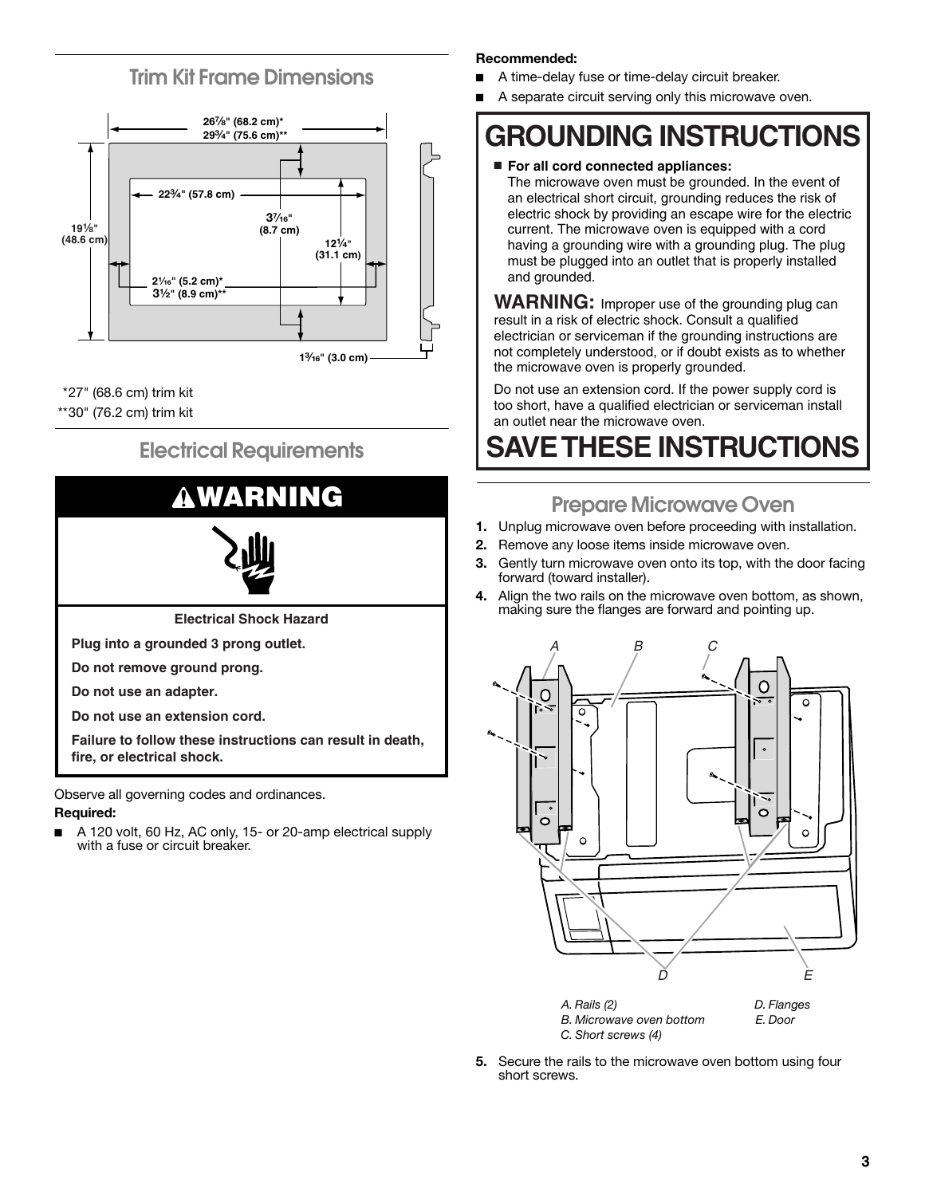### **Trim Kit Frame Dimensions**



\*27" (68.6 cm) trim kit

\*\*30" (76.2 cm) trim kit

### **Electrical Requirements**



**Required:**

A 120 volt, 60 Hz, AC only, 15- or 20-amp electrical supply with a fuse or circuit breaker.

#### **Recommended:**

- A time-delay fuse or time-delay circuit breaker.
- A separate circuit serving only this microwave oven.

## **GROUNDING INSTRUCTIONS**

#### ■ **For all cord connected appliances:**

The microwave oven must be grounded. In the event of an electrical short circuit, grounding reduces the risk of electric shock by providing an escape wire for the electric current. The microwave oven is equipped with a cord having a grounding wire with a grounding plug. The plug must be plugged into an outlet that is properly installed and grounded.

**WARNING:** Improper use of the grounding plug can result in a risk of electric shock. Consult a qualified electrician or serviceman if the grounding instructions are not completely understood, or if doubt exists as to whether the microwave oven is properly grounded.

Do not use an extension cord. If the power supply cord is too short, have a qualified electrician or serviceman install an outlet near the microwave oven.

## **SAVE THESE INSTRUCTIONS**

### **Prepare Microwave Oven**

- **1.** Unplug microwave oven before proceeding with installation.
- **2.** Remove any loose items inside microwave oven.
- **3.** Gently turn microwave oven onto its top, with the door facing forward (toward installer).
- **4.** Align the two rails on the microwave oven bottom, as shown, making sure the flanges are forward and pointing up.



**5.** Secure the rails to the microwave oven bottom using four short screws.

*C. Short screws (4)*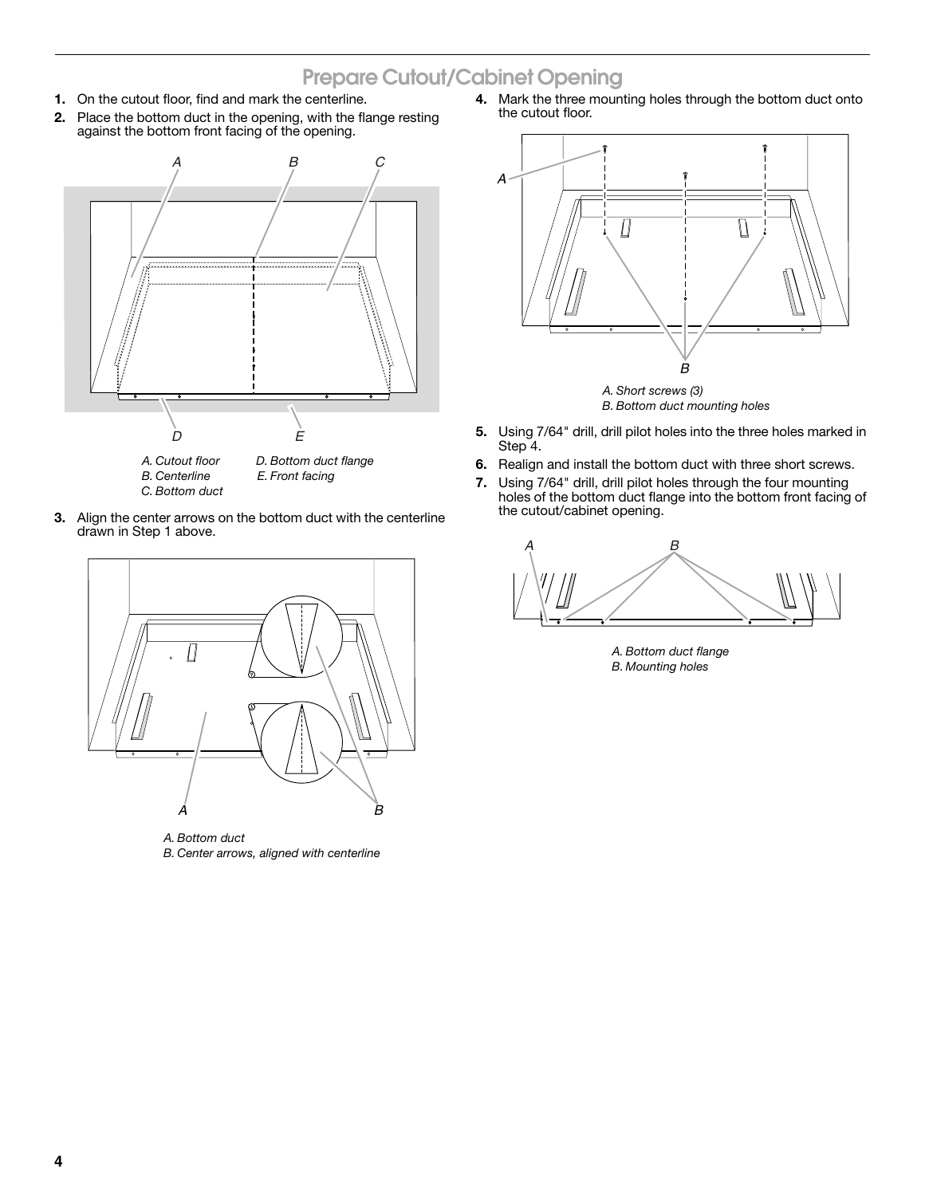### **Prepare Cutout/Cabinet Opening**

- **1.** On the cutout floor, find and mark the centerline.
- **2.** Place the bottom duct in the opening, with the flange resting against the bottom front facing of the opening.



- *C. Bottom duct*
- 
- **3.** Align the center arrows on the bottom duct with the centerline drawn in Step 1 above.



*A. Bottom duct B. Center arrows, aligned with centerline* **4.** Mark the three mounting holes through the bottom duct onto the cutout floor.



- **5.** Using 7/64" drill, drill pilot holes into the three holes marked in Step<sup>7</sup>4.
- **6.** Realign and install the bottom duct with three short screws.
- **7.** Using 7/64" drill, drill pilot holes through the four mounting holes of the bottom duct flange into the bottom front facing of the cutout/cabinet opening.



*A. Bottom duct flange B. Mounting holes*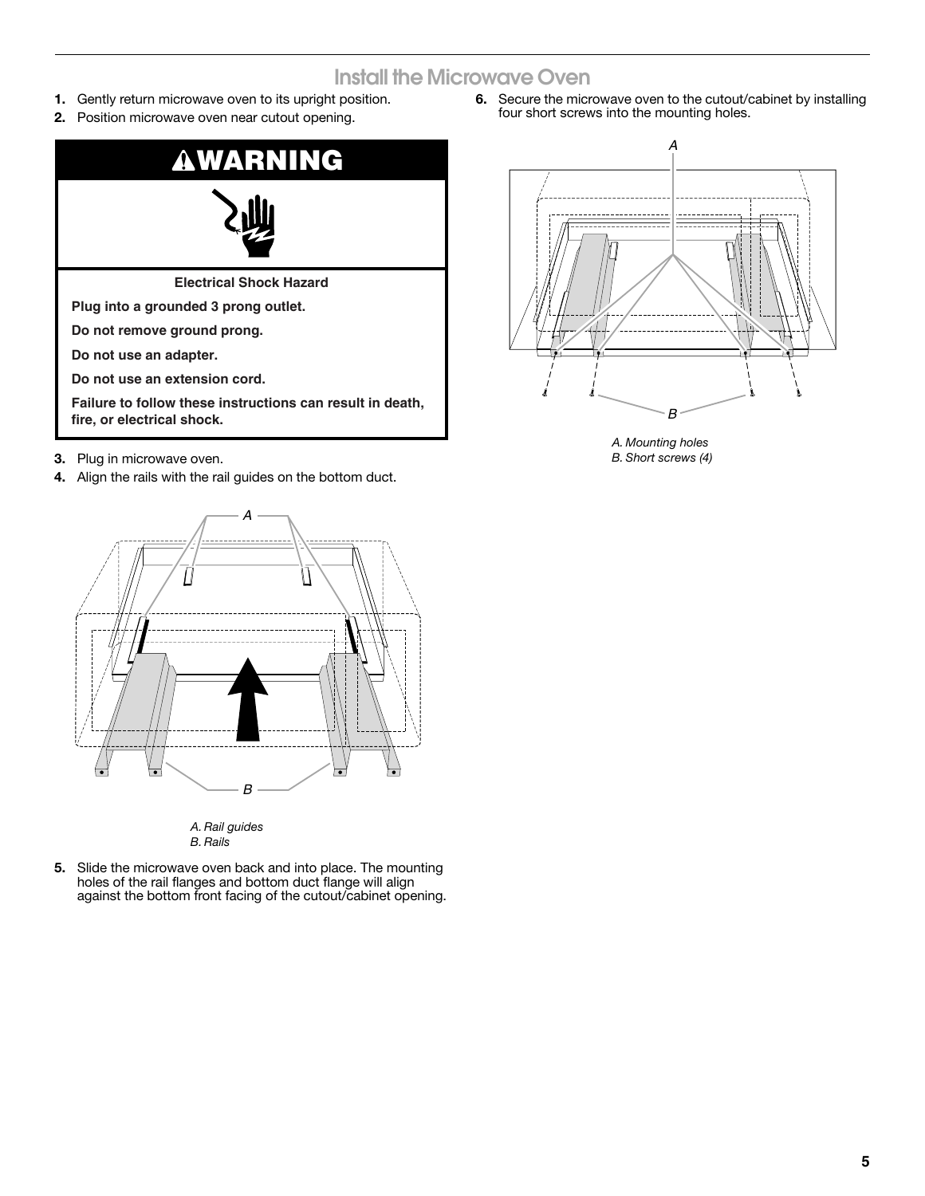### **Install the Microwave Oven**

- **1.** Gently return microwave oven to its upright position.
- **2.** Position microwave oven near cutout opening.



- **3.** Plug in microwave oven.
- **4.** Align the rails with the rail guides on the bottom duct.





**5.** Slide the microwave oven back and into place. The mounting holes of the rail flanges and bottom duct flange will align against the bottom front facing of the cutout/cabinet opening. **6.** Secure the microwave oven to the cutout/cabinet by installing four short screws into the mounting holes.



*A. Mounting holes B. Short screws (4)*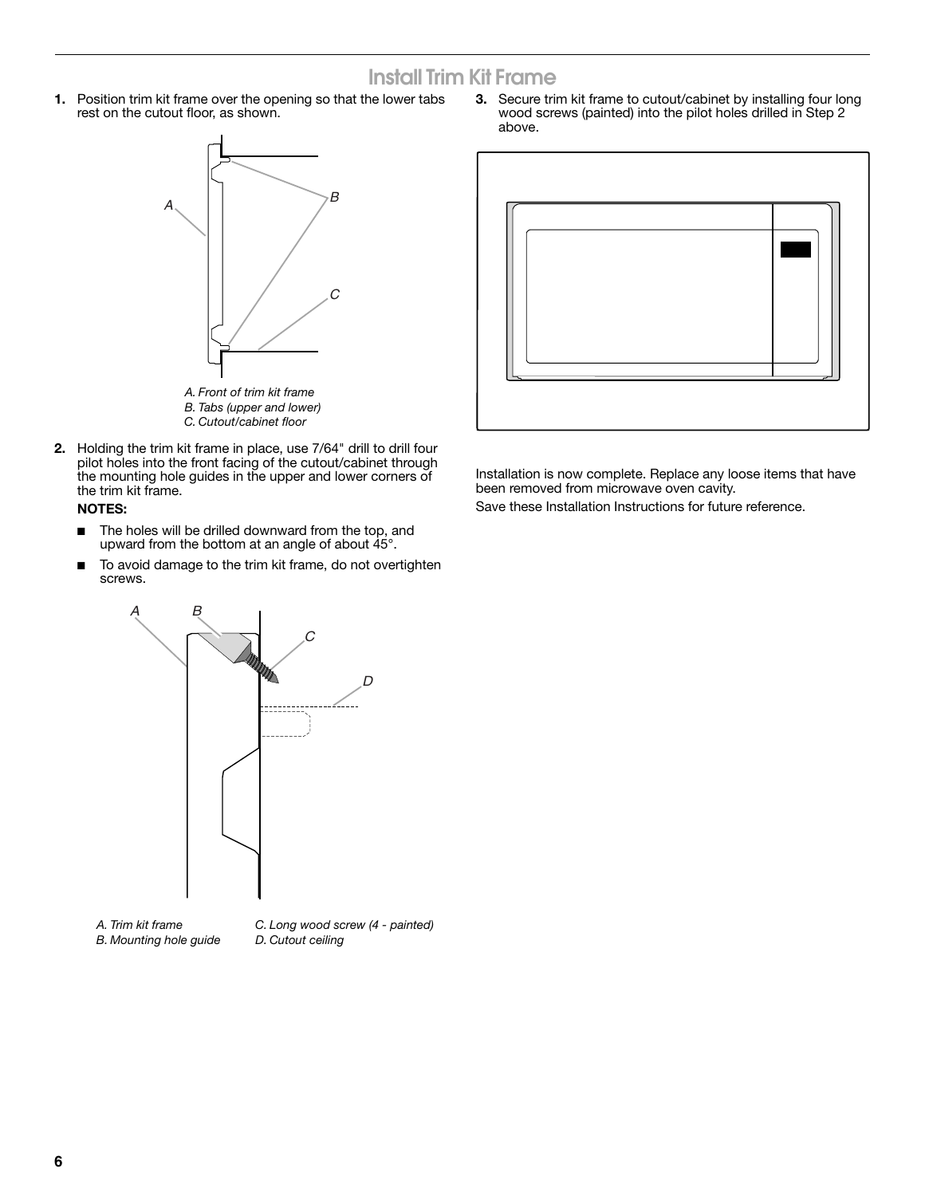### **Install Trim Kit Frame**

**1.** Position trim kit frame over the opening so that the lower tabs rest on the cutout floor, as shown.



**2.** Holding the trim kit frame in place, use 7/64" drill to drill four pilot holes into the front facing of the cutout/cabinet through the mounting hole guides in the upper and lower corners of the trim kit frame.

#### **NOTES:**

- The holes will be drilled downward from the top, and upward from the bottom at an angle of about  $45^\circ$ .
- To avoid damage to the trim kit frame, do not overtighten screws.



*B. Mounting hole guide*

**3.** Secure trim kit frame to cutout/cabinet by installing four long wood screws (painted) into the pilot holes drilled in Step 2 above.



Installation is now complete. Replace any loose items that have been removed from microwave oven cavity.

Save these Installation Instructions for future reference.

*C. Long wood screw (4 - painted) D. Cutout ceiling*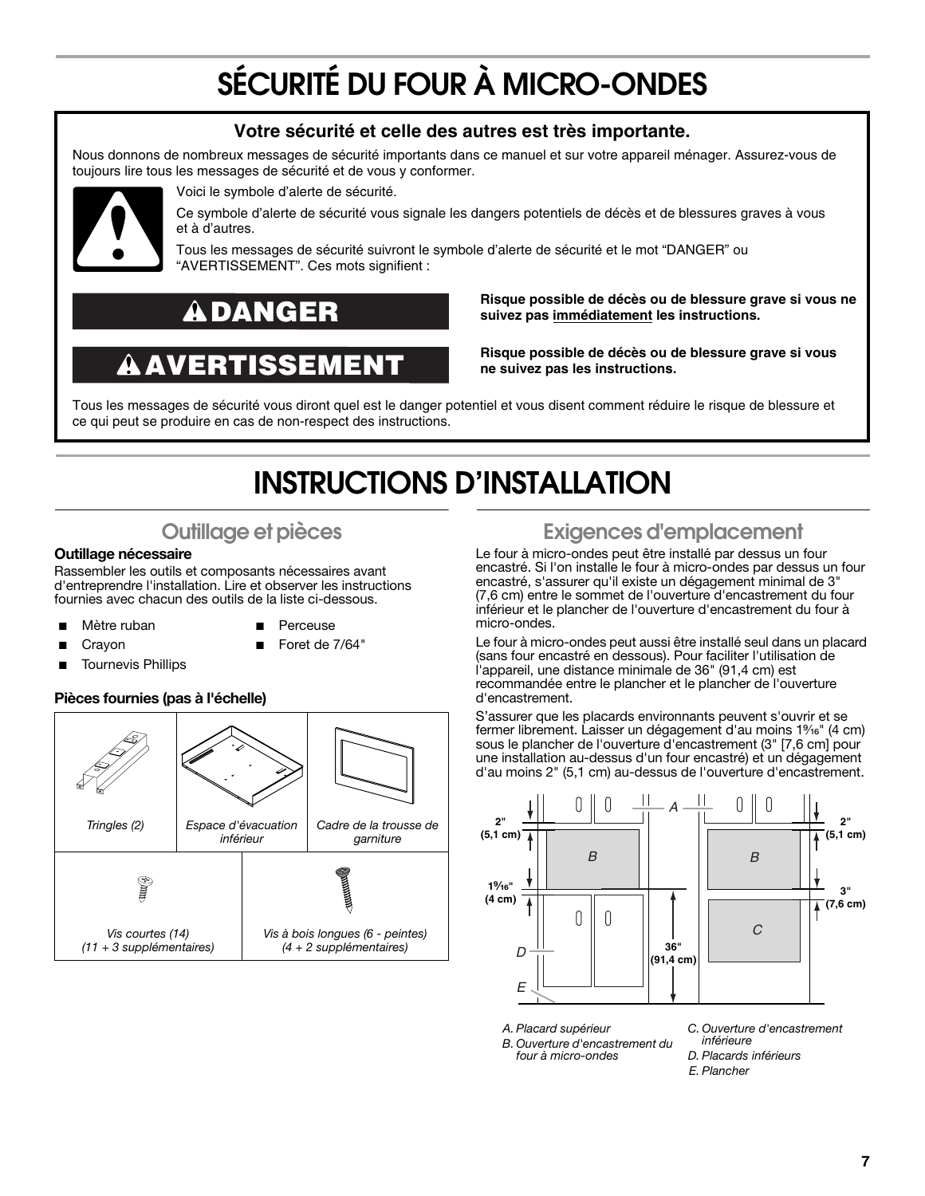# **SÉCURITÉ DU FOUR À MICRO-ONDES**

#### **Votre sécurité et celle des autres est très importante.**

Nous donnons de nombreux messages de sécurité importants dans ce manuel et sur votre appareil ménager. Assurez-vous de toujours lire tous les messages de sécurité et de vous y conformer.



Voici le symbole d'alerte de sécurité.

Ce symbole d'alerte de sécurité vous signale les dangers potentiels de décès et de blessures graves à vous et à d'autres.

Tous les messages de sécurité suivront le symbole d'alerte de sécurité et le mot "DANGER" ou "AVERTISSEMENT". Ces mots signifient :

### **DANGER**

## **AVERTISSEMENT**

**Risque possible de décès ou de blessure grave si vous ne suivez pas immédiatement les instructions.** 

**Risque possible de décès ou de blessure grave si vous ne suivez pas les instructions.** 

Tous les messages de sécurité vous diront quel est le danger potentiel et vous disent comment réduire le risque de blessure et ce qui peut se produire en cas de non-respect des instructions.

## **INSTRUCTIONS D'INSTALLATION**

### **Outillage et pièces**

#### **Outillage nécessaire**

Rassembler les outils et composants nécessaires avant d'entreprendre l'installation. Lire et observer les instructions fournies avec chacun des outils de la liste ci-dessous.

- Mètre ruban
- **Perceuse** Foret de 7/64"
- **Crayon** 
	- **Tournevis Phillips** 
		-

#### **Pièces fournies (pas à l'échelle)**



### **Exigences d'emplacement**

Le four à micro-ondes peut être installé par dessus un four encastré. Si l'on installe le four à micro-ondes par dessus un four encastré, s'assurer qu'il existe un dégagement minimal de 3" (7,6 cm) entre le sommet de l'ouverture d'encastrement du four inférieur et le plancher de l'ouverture d'encastrement du four à micro-ondes.

Le four à micro-ondes peut aussi être installé seul dans un placard (sans four encastré en dessous). Pour faciliter l'utilisation de l'appareil, une distance minimale de 36" (91,4 cm) est recommandée entre le plancher et le plancher de l'ouverture d'encastrement.

S'assurer que les placards environnants peuvent s'ouvrir et se fermer librement. Laisser un dégagement d'au moins 1%<sup>e</sup>" (4 cm) sous le plancher de l'ouverture d'encastrement (3" [7,6 cm] pour une installation au-dessus d'un four encastré) et un dégagement d'au moins 2" (5,1 cm) au-dessus de l'ouverture d'encastrement.



*A. Placard supérieur B. Ouverture d'encastrement du four à micro-ondes*

- *inférieure*
	- *D. Placards inférieurs*
	- *E. Plancher*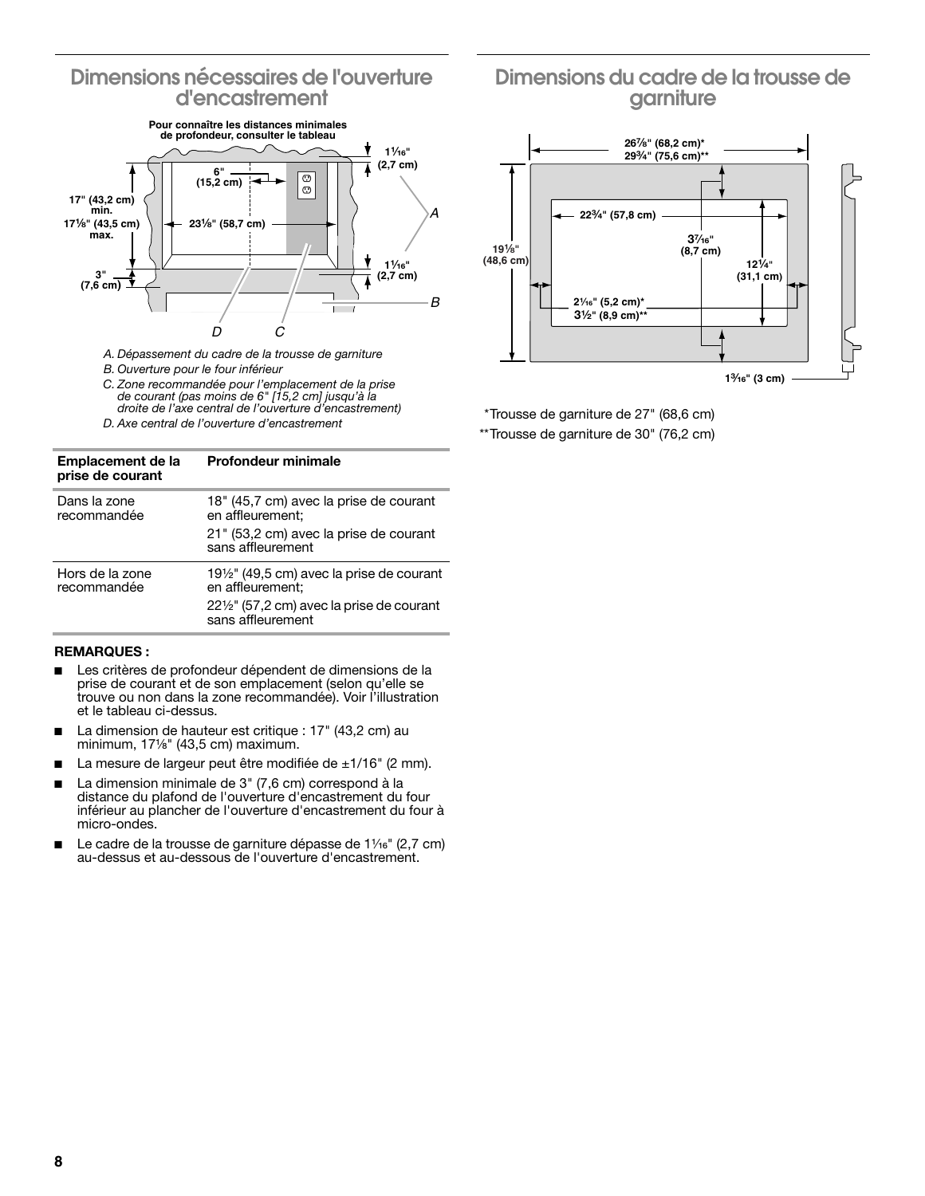#### **Dimensions nécessaires de l'ouverture d'encastrement**



*A. Dépassement du cadre de la trousse de garniture*

- *B. Ouverture pour le four inférieur*
- *C. Zone recommandée pour l'emplacement de la prise de courant (pas moins de 6" [15,2 cm] jusqu'à la droite de l'axe central de l'ouverture d'encastrement)*
- *D. Axe central de l'ouverture d'encastrement*

#### **Emplacement de la prise de courant Profondeur minimale**

| Dans la zone<br>recommandée    | 18" (45,7 cm) avec la prise de courant<br>en affleurement;<br>21" (53,2 cm) avec la prise de courant<br>sans affleurement |
|--------------------------------|---------------------------------------------------------------------------------------------------------------------------|
| Hors de la zone<br>recommandée | 19 <sup>1</sup> / <sub>2</sub> " (49,5 cm) avec la prise de courant<br>en affleurement;                                   |
|                                | 22 <sup>1</sup> / <sub>2</sub> " (57,2 cm) avec la prise de courant<br>sans affleurement                                  |

#### **REMARQUES :**

- Les critères de profondeur dépendent de dimensions de la prise de courant et de son emplacement (selon qu'elle se trouve ou non dans la zone recommandée). Voir l'illustration et le tableau ci-dessus.
- La dimension de hauteur est critique : 17" (43,2 cm) au minimum, 171/<sub>8</sub>" (43,5 cm) maximum.
- La mesure de largeur peut être modifiée de  $\pm 1/16$ " (2 mm).
- La dimension minimale de 3" (7,6 cm) correspond à la distance du plafond de l'ouverture d'encastrement du four inférieur au plancher de l'ouverture d'encastrement du four à micro-ondes.
- Le cadre de la trousse de garniture dépasse de  $1\frac{1}{6}$ " (2,7 cm) au-dessus et au-dessous de l'ouverture d'encastrement.

### **Dimensions du cadre de la trousse de garniture**



\*Trousse de garniture de 27" (68,6 cm)

\*\*Trousse de garniture de 30" (76,2 cm)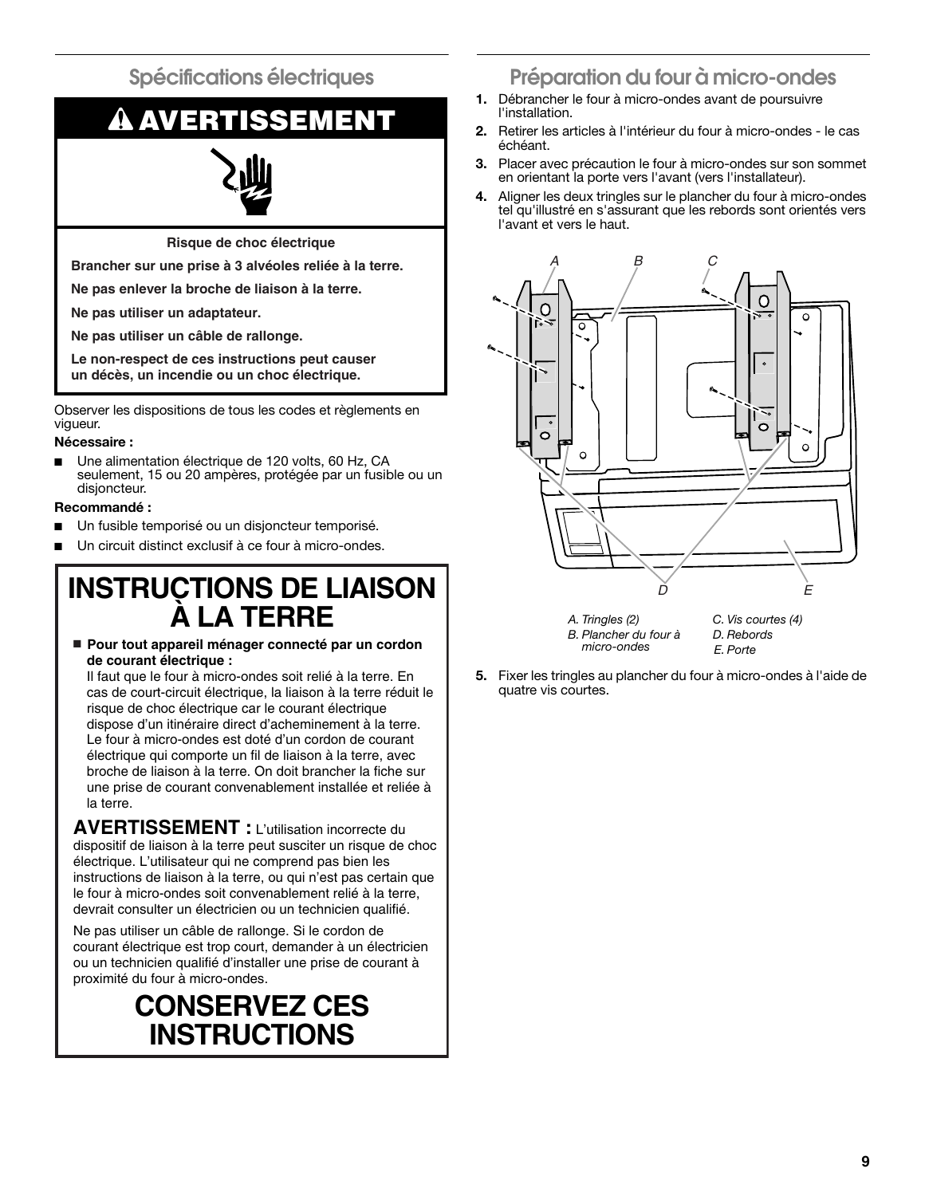**Spécifications électriques**

# **AVERTISSEMENT**

**Risque de choc électrique**

**Brancher sur une prise à 3 alvéoles reliée à la terre.**

**Ne pas enlever la broche de liaison à la terre.**

**Ne pas utiliser un adaptateur.**

**Ne pas utiliser un câble de rallonge.**

**Le non-respect de ces instructions peut causer un décès, un incendie ou un choc électrique.**

Observer les dispositions de tous les codes et règlements en vigueur.

#### **Nécessaire :**

Une alimentation électrique de 120 volts, 60 Hz, CA seulement, 15 ou 20 ampères, protégée par un fusible ou un disjoncteur.

#### **Recommandé :**

- Un fusible temporisé ou un disioncteur temporisé.
- Un circuit distinct exclusif à ce four à micro-ondes.

### **INSTRUCTIONS DE LIAISON À LA TERRE**

■ **Pour tout appareil ménager connecté par un cordon de courant électrique :**

Il faut que le four à micro-ondes soit relié à la terre. En cas de court-circuit électrique, la liaison à la terre réduit le risque de choc électrique car le courant électrique dispose d'un itinéraire direct d'acheminement à la terre. Le four à micro-ondes est doté d'un cordon de courant électrique qui comporte un fil de liaison à la terre, avec broche de liaison à la terre. On doit brancher la fiche sur une prise de courant convenablement installée et reliée à la terre.

**AVERTISSEMENT :** L'utilisation incorrecte du dispositif de liaison à la terre peut susciter un risque de choc électrique. L'utilisateur qui ne comprend pas bien les instructions de liaison à la terre, ou qui n'est pas certain que le four à micro-ondes soit convenablement relié à la terre, devrait consulter un électricien ou un technicien qualifié.

Ne pas utiliser un câble de rallonge. Si le cordon de courant électrique est trop court, demander à un électricien ou un technicien qualifié d'installer une prise de courant à proximité du four à micro-ondes.

## **CONSERVEZ CES INSTRUCTIONS**

### **Préparation du four à micro-ondes**

- **1.** Débrancher le four à micro-ondes avant de poursuivre l'installation.
- **2.** Retirer les articles à l'intérieur du four à micro-ondes le cas échéant.
- **3.** Placer avec précaution le four à micro-ondes sur son sommet en orientant la porte vers l'avant (vers l'installateur).
- **4.** Aligner les deux tringles sur le plancher du four à micro-ondes tel qu'illustré en s'assurant que les rebords sont orientés vers l'avant et vers le haut.



*A. Tringles (2) B. Plancher du four à micro-ondes*

*C. Vis courtes (4) D. Rebords E. Porte*

**5.** Fixer les tringles au plancher du four à micro-ondes à l'aide de quatre vis courtes.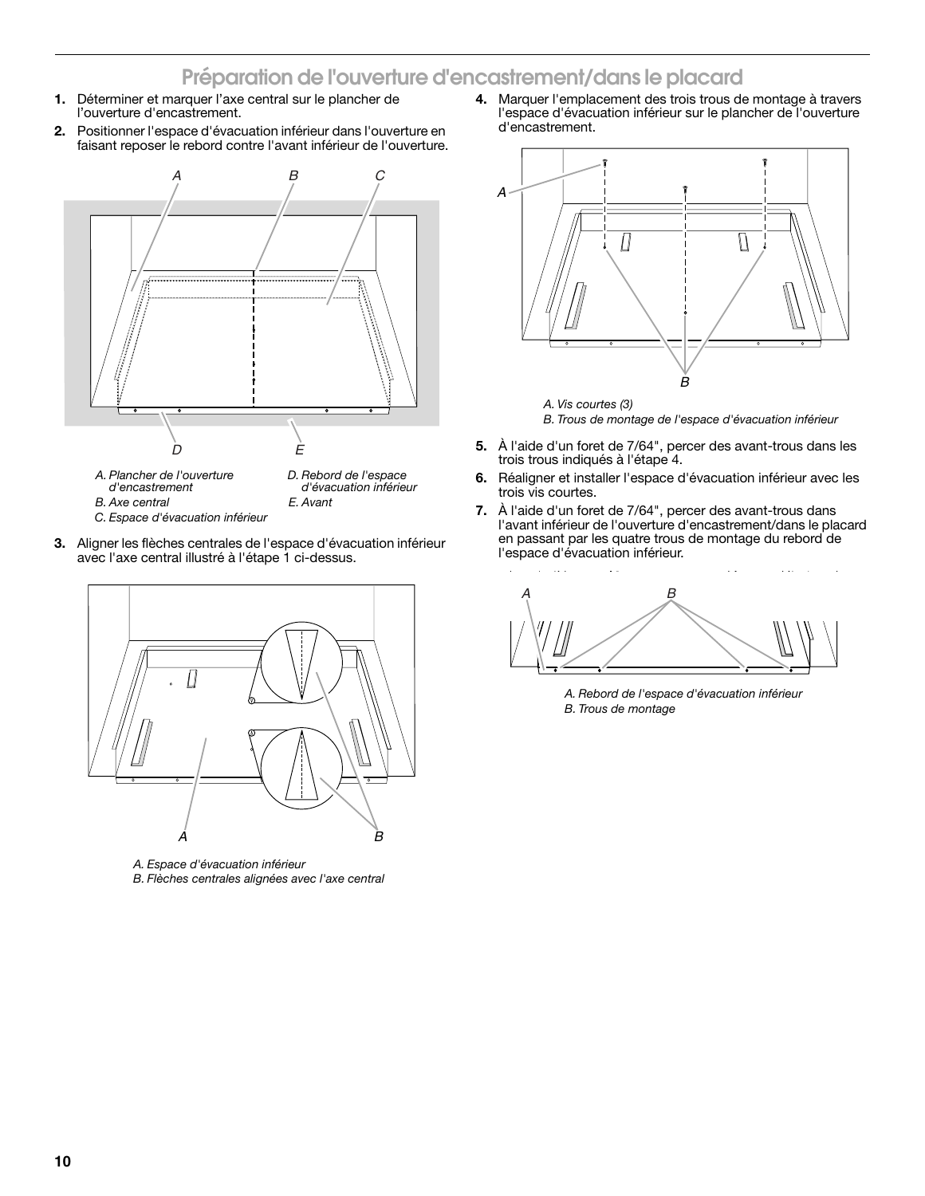### **Préparation de l'ouverture d'encastrement/dans le placard**

- **1.** Déterminer et marquer l'axe central sur le plancher de l'ouverture d'encastrement.
- **2.** Positionner l'espace d'évacuation inférieur dans l'ouverture en faisant reposer le rebord contre l'avant inférieur de l'ouverture.



- *d'encastrement B. Axe central*
- *d'évacuation inférieur E. Avant*
- *C. Espace d'évacuation inférieur*
- **3.** Aligner les flèches centrales de l'espace d'évacuation inférieur avec l'axe central illustré à l'étape 1 ci-dessus.



*A. Espace d'évacuation inférieur B. Flèches centrales alignées avec l'axe central* **4.** Marquer l'emplacement des trois trous de montage à travers l'espace d'évacuation inférieur sur le plancher de l'ouverture d'encastrement.



*B. Trous de montage de l'espace d'évacuation inférieur*

- **5.** À l'aide d'un foret de 7/64", percer des avant-trous dans les trois trous indiqués à l'étape 4.
- **6.** Réaligner et installer l'espace d'évacuation inférieur avec les trois vis courtes.
- **7.** À l'aide d'un foret de 7/64", percer des avant-trous dans l'avant inférieur de l'ouverture d'encastrement/dans le placard en passant par les quatre trous de montage du rebord de l'espace d'évacuation inférieur.

A B

*A. Rebord de l'espace d'évacuation inférieur B. Trous de montage*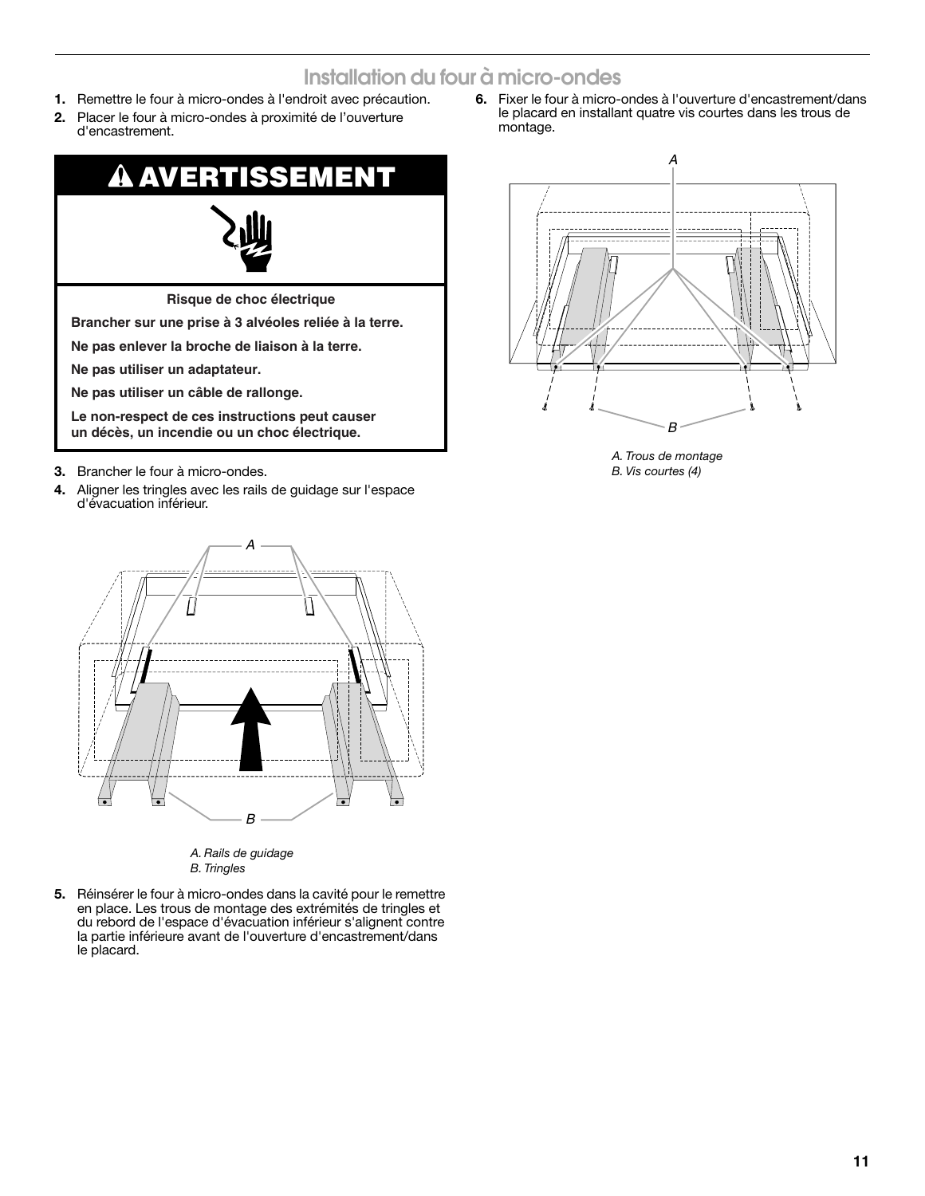### **Installation du four à micro-ondes**

- **1.** Remettre le four à micro-ondes à l'endroit avec précaution.
- **2.** Placer le four à micro-ondes à proximité de l'ouverture d'encastrement.



- **3.** Brancher le four à micro-ondes.
- **4.** Aligner les tringles avec les rails de guidage sur l'espace d'évacuation inférieur.



*A. Rails de guidage B. Tringles*

**5.** Réinsérer le four à micro-ondes dans la cavité pour le remettre en place. Les trous de montage des extrémités de tringles et du rebord de l'espace d'évacuation inférieur s'alignent contre la partie inférieure avant de l'ouverture d'encastrement/dans le placard.

**6.** Fixer le four à micro-ondes à l'ouverture d'encastrement/dans le placard en installant quatre vis courtes dans les trous de montage.